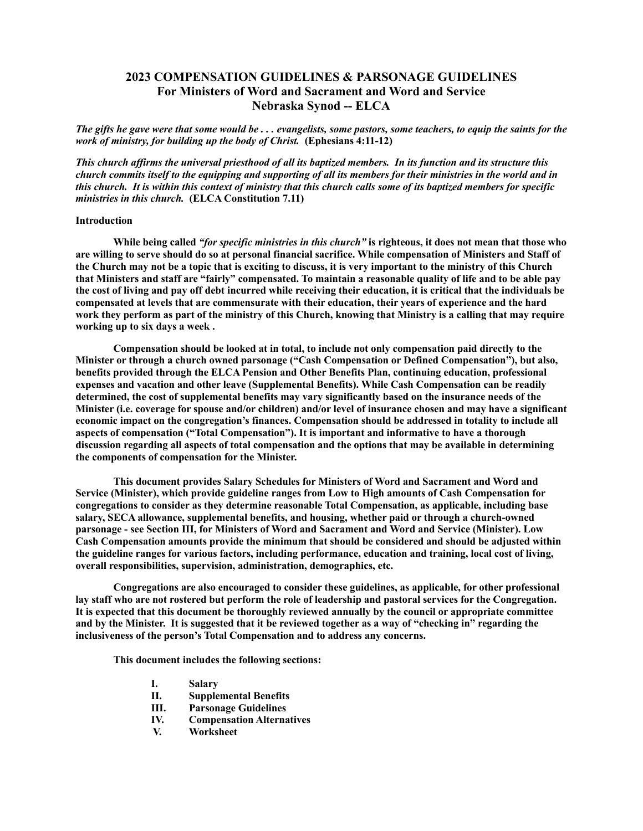# **2023 COMPENSATION GUIDELINES & PARSONAGE GUIDELINES For Ministers of Word and Sacrament and Word and Service Nebraska Synod -- ELCA**

*The gifts he gave were that some would be . . . evangelists, some pastors, some teachers, to equip the saints for the work of ministry, for building up the body of Christ.* **(Ephesians 4:11-12)**

*This church affirms the universal priesthood of all its baptized members. In its function and its structure this church commits itself to the equipping and supporting of all its members for their ministries in the world and in this church. It is within this context of ministry that this church calls some of its baptized members for specific ministries in this church.* **(ELCA Constitution 7.11)**

#### **Introduction**

**While being called** *"for specific ministries in this church"* **is righteous, it does not mean that those who are willing to serve should do so at personal financial sacrifice. While compensation of Ministers and Staff of the Church may not be a topic that is exciting to discuss, it is very important to the ministry of this Church that Ministers and staff are "fairly" compensated. To maintain a reasonable quality of life and to be able pay the cost of living and pay off debt incurred while receiving their education, it is critical that the individuals be compensated at levels that are commensurate with their education, their years of experience and the hard work they perform as part of the ministry of this Church, knowing that Ministry is a calling that may require working up to six days a week .**

**Compensation should be looked at in total, to include not only compensation paid directly to the Minister or through a church owned parsonage ("Cash Compensation or Defined Compensation"), but also, benefits provided through the ELCA Pension and Other Benefits Plan, continuing education, professional expenses and vacation and other leave (Supplemental Benefits). While Cash Compensation can be readily determined, the cost of supplemental benefits may vary significantly based on the insurance needs of the Minister (i.e. coverage for spouse and/or children) and/or level of insurance chosen and may have a significant economic impact on the congregation's finances. Compensation should be addressed in totality to include all aspects of compensation ("Total Compensation"). It is important and informative to have a thorough discussion regarding all aspects of total compensation and the options that may be available in determining the components of compensation for the Minister.**

**This document provides Salary Schedules for Ministers of Word and Sacrament and Word and Service (Minister), which provide guideline ranges from Low to High amounts of Cash Compensation for congregations to consider as they determine reasonable Total Compensation, as applicable, including base salary, SECA allowance, supplemental benefits, and housing, whether paid or through a church-owned parsonage - see Section III, for Ministers of Word and Sacrament and Word and Service (Minister). Low Cash Compensation amounts provide the minimum that should be considered and should be adjusted within the guideline ranges for various factors, including performance, education and training, local cost of living, overall responsibilities, supervision, administration, demographics, etc.** 

**Congregations are also encouraged to consider these guidelines, as applicable, for other professional lay staff who are not rostered but perform the role of leadership and pastoral services for the Congregation. It is expected that this document be thoroughly reviewed annually by the council or appropriate committee and by the Minister. It is suggested that it be reviewed together as a way of "checking in" regarding the inclusiveness of the person's Total Compensation and to address any concerns.** 

**This document includes the following sections:**

- **I. Salary**
- **II. Supplemental Benefits**
- **III. Parsonage Guidelines**
- **IV. Compensation Alternatives**
- **V. Worksheet**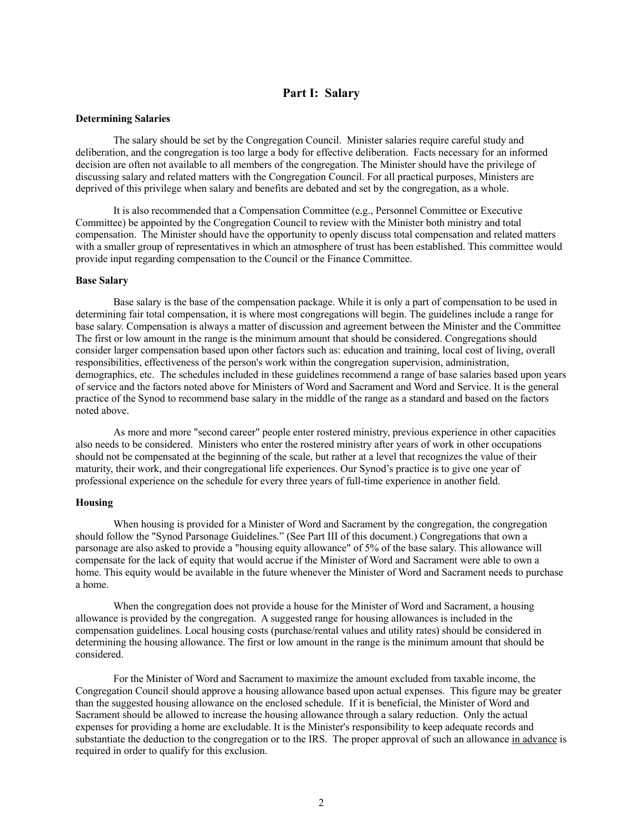## **Part I: Salary**

#### **Determining Salaries**

The salary should be set by the Congregation Council. Minister salaries require careful study and deliberation, and the congregation is too large a body for effective deliberation. Facts necessary for an informed decision are often not available to all members of the congregation. The Minister should have the privilege of discussing salary and related matters with the Congregation Council. For all practical purposes, Ministers are deprived of this privilege when salary and benefits are debated and set by the congregation, as a whole.

It is also recommended that a Compensation Committee (e.g., Personnel Committee or Executive Committee) be appointed by the Congregation Council to review with the Minister both ministry and total compensation. The Minister should have the opportunity to openly discuss total compensation and related matters with a smaller group of representatives in which an atmosphere of trust has been established. This committee would provide input regarding compensation to the Council or the Finance Committee.

#### **Base Salary**

Base salary is the base of the compensation package. While it is only a part of compensation to be used in determining fair total compensation, it is where most congregations will begin. The guidelines include a range for base salary. Compensation is always a matter of discussion and agreement between the Minister and the Committee The first or low amount in the range is the minimum amount that should be considered. Congregations should consider larger compensation based upon other factors such as: education and training, local cost of living, overall responsibilities, effectiveness of the person's work within the congregation supervision, administration, demographics, etc. The schedules included in these guidelines recommend a range of base salaries based upon years of service and the factors noted above for Ministers of Word and Sacrament and Word and Service. It is the general practice of the Synod to recommend base salary in the middle of the range as a standard and based on the factors noted above.

As more and more "second career" people enter rostered ministry, previous experience in other capacities also needs to be considered. Ministers who enter the rostered ministry after years of work in other occupations should not be compensated at the beginning of the scale, but rather at a level that recognizes the value of their maturity, their work, and their congregational life experiences. Our Synod's practice is to give one year of professional experience on the schedule for every three years of full-time experience in another field.

#### **Housing**

When housing is provided for a Minister of Word and Sacrament by the congregation, the congregation should follow the "Synod Parsonage Guidelines." (See Part III of this document.) Congregations that own a parsonage are also asked to provide a "housing equity allowance" of 5% of the base salary. This allowance will compensate for the lack of equity that would accrue if the Minister of Word and Sacrament were able to own a home. This equity would be available in the future whenever the Minister of Word and Sacrament needs to purchase a home.

When the congregation does not provide a house for the Minister of Word and Sacrament, a housing allowance is provided by the congregation. A suggested range for housing allowances is included in the compensation guidelines. Local housing costs (purchase/rental values and utility rates) should be considered in determining the housing allowance. The first or low amount in the range is the minimum amount that should be considered.

For the Minister of Word and Sacrament to maximize the amount excluded from taxable income, the Congregation Council should approve a housing allowance based upon actual expenses. This figure may be greater than the suggested housing allowance on the enclosed schedule. If it is beneficial, the Minister of Word and Sacrament should be allowed to increase the housing allowance through a salary reduction. Only the actual expenses for providing a home are excludable. It is the Minister's responsibility to keep adequate records and substantiate the deduction to the congregation or to the IRS. The proper approval of such an allowance in advance is required in order to qualify for this exclusion.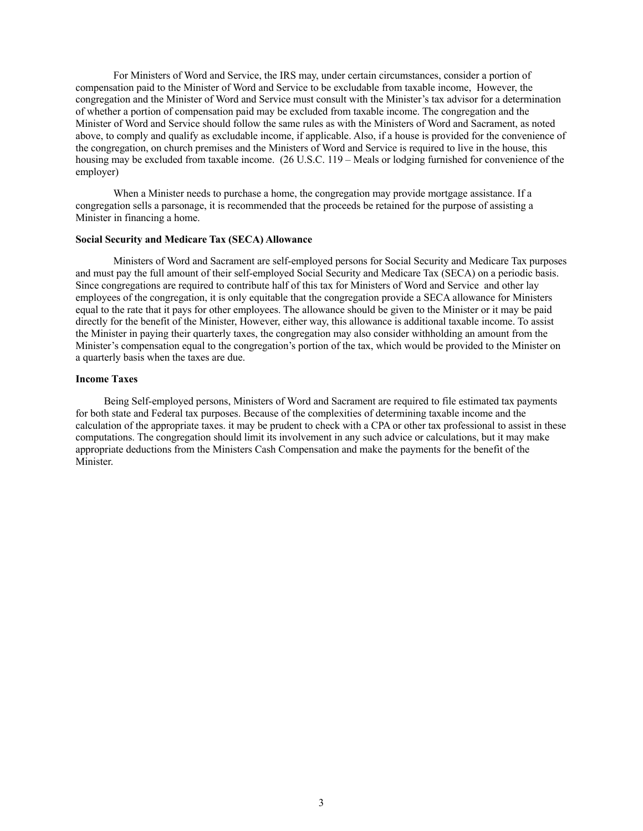For Ministers of Word and Service, the IRS may, under certain circumstances, consider a portion of compensation paid to the Minister of Word and Service to be excludable from taxable income, However, the congregation and the Minister of Word and Service must consult with the Minister's tax advisor for a determination of whether a portion of compensation paid may be excluded from taxable income. The congregation and the Minister of Word and Service should follow the same rules as with the Ministers of Word and Sacrament, as noted above, to comply and qualify as excludable income, if applicable. Also, if a house is provided for the convenience of the congregation, on church premises and the Ministers of Word and Service is required to live in the house, this housing may be excluded from taxable income. (26 U.S.C. 119 – Meals or lodging furnished for convenience of the employer)

When a Minister needs to purchase a home, the congregation may provide mortgage assistance. If a congregation sells a parsonage, it is recommended that the proceeds be retained for the purpose of assisting a Minister in financing a home.

## **Social Security and Medicare Tax (SECA) Allowance**

Ministers of Word and Sacrament are self-employed persons for Social Security and Medicare Tax purposes and must pay the full amount of their self-employed Social Security and Medicare Tax (SECA) on a periodic basis. Since congregations are required to contribute half of this tax for Ministers of Word and Service and other lay employees of the congregation, it is only equitable that the congregation provide a SECA allowance for Ministers equal to the rate that it pays for other employees. The allowance should be given to the Minister or it may be paid directly for the benefit of the Minister, However, either way, this allowance is additional taxable income. To assist the Minister in paying their quarterly taxes, the congregation may also consider withholding an amount from the Minister's compensation equal to the congregation's portion of the tax, which would be provided to the Minister on a quarterly basis when the taxes are due.

#### **Income Taxes**

Being Self-employed persons, Ministers of Word and Sacrament are required to file estimated tax payments for both state and Federal tax purposes. Because of the complexities of determining taxable income and the calculation of the appropriate taxes. it may be prudent to check with a CPA or other tax professional to assist in these computations. The congregation should limit its involvement in any such advice or calculations, but it may make appropriate deductions from the Ministers Cash Compensation and make the payments for the benefit of the Minister.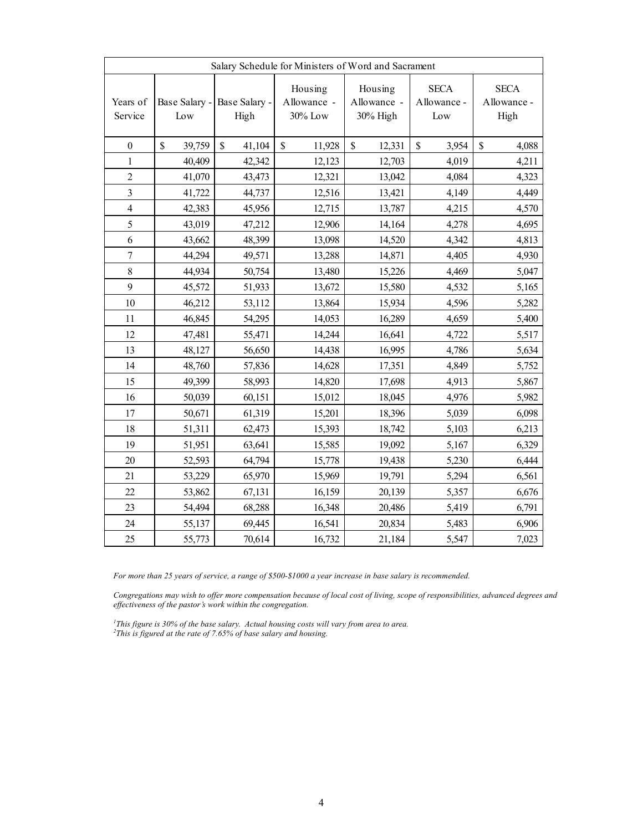| Salary Schedule for Ministers of Word and Sacrament |                        |                                     |                                   |                                    |                                               |                                    |  |  |  |
|-----------------------------------------------------|------------------------|-------------------------------------|-----------------------------------|------------------------------------|-----------------------------------------------|------------------------------------|--|--|--|
| Years of<br>Service                                 | Low                    | Base Salary - Base Salary -<br>High | Housing<br>Allowance -<br>30% Low | Housing<br>Allowance -<br>30% High | <b>SECA</b><br>Allowance -<br>$_{\text{Low}}$ | <b>SECA</b><br>Allowance -<br>High |  |  |  |
| $\boldsymbol{0}$                                    | $\mathbb{S}$<br>39,759 | $\mathbb{S}$<br>41,104              | $\mathbb{S}$<br>11,928            | \$<br>12,331                       | \$<br>3,954                                   | $\mathbb{S}$<br>4,088              |  |  |  |
| $\mathbf{1}$                                        | 40,409                 | 42,342                              | 12,123                            | 12,703                             | 4,019                                         | 4,211                              |  |  |  |
| $\sqrt{2}$                                          | 41,070                 | 43,473                              | 12,321                            | 13,042                             | 4,084                                         | 4,323                              |  |  |  |
| 3                                                   | 41,722                 | 44,737                              | 12,516                            | 13,421                             | 4,149                                         | 4,449                              |  |  |  |
| $\overline{4}$                                      | 42,383                 | 45,956                              | 12,715                            | 13,787                             | 4,215                                         | 4,570                              |  |  |  |
| 5                                                   | 43,019                 | 47,212                              | 12,906                            | 14,164                             | 4,278                                         | 4,695                              |  |  |  |
| $\sqrt{6}$                                          | 43,662                 | 48,399                              | 13,098                            | 14,520                             | 4,342                                         | 4,813                              |  |  |  |
| $\boldsymbol{7}$                                    | 44,294                 | 49,571                              | 13,288                            | 14,871                             | 4,405                                         | 4,930                              |  |  |  |
| $\,$ 8 $\,$                                         | 44,934                 | 50,754                              | 13,480                            | 15,226                             | 4,469                                         | 5,047                              |  |  |  |
| $\mathbf{9}$                                        | 45,572                 | 51,933                              | 13,672                            | 15,580                             | 4,532                                         | 5,165                              |  |  |  |
| 10                                                  | 46,212                 | 53,112                              | 13,864                            | 15,934                             | 4,596                                         | 5,282                              |  |  |  |
| 11                                                  | 46,845                 | 54,295                              | 14,053                            | 16,289                             | 4,659                                         | 5,400                              |  |  |  |
| 12                                                  | 47,481                 | 55,471                              | 14,244                            | 16,641                             | 4,722                                         | 5,517                              |  |  |  |
| 13                                                  | 48,127                 | 56,650                              | 14,438                            | 16,995                             | 4,786                                         | 5,634                              |  |  |  |
| 14                                                  | 48,760                 | 57,836                              | 14,628                            | 17,351                             | 4,849                                         | 5,752                              |  |  |  |
| 15                                                  | 49,399                 | 58,993                              | 14,820                            | 17,698                             | 4,913                                         | 5,867                              |  |  |  |
| 16                                                  | 50,039                 | 60,151                              | 15,012                            | 18,045                             | 4,976                                         | 5,982                              |  |  |  |
| 17                                                  | 50,671                 | 61,319                              | 15,201                            | 18,396                             | 5,039                                         | 6,098                              |  |  |  |
| 18                                                  | 51,311                 | 62,473                              | 15,393                            | 18,742                             | 5,103                                         | 6,213                              |  |  |  |
| 19                                                  | 51,951                 | 63,641                              | 15,585                            | 19,092                             | 5,167                                         | 6,329                              |  |  |  |
| $20\,$                                              | 52,593                 | 64,794                              | 15,778                            | 19,438                             | 5,230                                         | 6,444                              |  |  |  |
| 21                                                  | 53,229                 | 65,970                              | 15,969                            | 19,791                             | 5,294                                         | 6,561                              |  |  |  |
| 22                                                  | 53,862                 | 67,131                              | 16,159                            | 20,139                             | 5,357                                         | 6,676                              |  |  |  |
| 23                                                  | 54,494                 | 68,288                              | 16,348                            | 20,486                             | 5,419                                         | 6,791                              |  |  |  |
| 24                                                  | 55,137                 | 69,445                              | 16,541                            | 20,834                             | 5,483                                         | 6,906                              |  |  |  |
| 25                                                  | 55,773                 | 70,614                              | 16,732                            | 21,184                             | 5,547                                         | 7,023                              |  |  |  |

*For more than 25 years of service, a range of \$500-\$1000 a year increase in base salary is recommended.* 

*Congregations may wish to offer more compensation because of local cost of living, scope of responsibilities, advanced degrees and effectiveness of the pastor's work within the congregation.*

*1 This figure is 30% of the base salary. Actual housing costs will vary from area to area. 2 This is figured at the rate of 7.65% of base salary and housing.*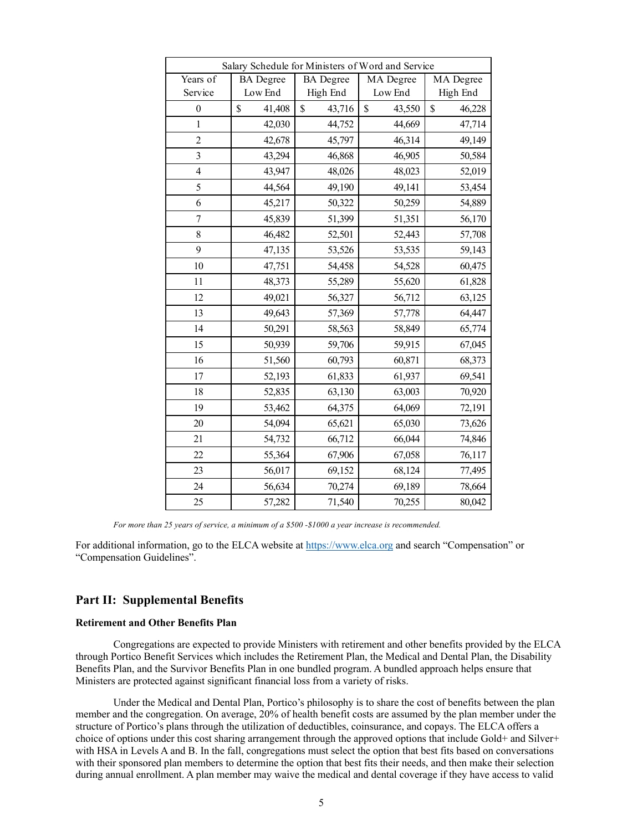| Salary Schedule for Ministers of Word and Service |                  |                  |              |              |  |  |  |  |  |
|---------------------------------------------------|------------------|------------------|--------------|--------------|--|--|--|--|--|
| Years of                                          | <b>BA</b> Degree | <b>BA</b> Degree | MA Degree    | MA Degree    |  |  |  |  |  |
| Service                                           | Low End          | High End         | Low End      | High End     |  |  |  |  |  |
| $\boldsymbol{0}$                                  | \$<br>41,408     | \$<br>43,716     | \$<br>43,550 | \$<br>46,228 |  |  |  |  |  |
| 1                                                 | 42,030           | 44,752           | 44,669       | 47,714       |  |  |  |  |  |
| $\overline{2}$                                    | 42,678           | 45,797           | 46,314       | 49,149       |  |  |  |  |  |
| $\overline{\mathbf{3}}$                           | 43,294           | 46,868           | 46,905       | 50,584       |  |  |  |  |  |
| $\overline{4}$                                    | 43,947           | 48,026           | 48,023       | 52,019       |  |  |  |  |  |
| 5                                                 | 44,564           | 49,190           | 49,141       | 53,454       |  |  |  |  |  |
| 6                                                 | 45,217           | 50,322           | 50,259       | 54,889       |  |  |  |  |  |
| $\overline{7}$                                    | 45,839           | 51,399           | 51,351       | 56,170       |  |  |  |  |  |
| 8                                                 | 46,482           | 52,501           | 52,443       | 57,708       |  |  |  |  |  |
| 9                                                 | 47,135           | 53,526           | 53,535       | 59,143       |  |  |  |  |  |
| 10                                                | 47,751           | 54,458           | 54,528       | 60,475       |  |  |  |  |  |
| 11                                                | 48,373           | 55,289           | 55,620       | 61,828       |  |  |  |  |  |
| 12                                                | 49,021           | 56,327           | 56,712       | 63,125       |  |  |  |  |  |
| 13                                                | 49,643           | 57,369           | 57,778       | 64,447       |  |  |  |  |  |
| 14                                                | 50,291           | 58,563           | 58,849       | 65,774       |  |  |  |  |  |
| 15                                                | 50,939           | 59,706           | 59,915       | 67,045       |  |  |  |  |  |
| 16                                                | 51,560           | 60,793           | 60,871       | 68,373       |  |  |  |  |  |
| 17                                                | 52,193           | 61,833           | 61,937       | 69,541       |  |  |  |  |  |
| 18                                                | 52,835           | 63,130           | 63,003       | 70,920       |  |  |  |  |  |
| 19                                                | 53,462           | 64,375           | 64,069       | 72,191       |  |  |  |  |  |
| 20                                                | 54,094           | 65,621           | 65,030       | 73,626       |  |  |  |  |  |
| 21                                                | 54,732           | 66,712           | 66,044       | 74,846       |  |  |  |  |  |
| 22                                                | 55,364           | 67,906           | 67,058       | 76,117       |  |  |  |  |  |
| 23                                                | 56,017           | 69,152           | 68,124       | 77,495       |  |  |  |  |  |
| 24                                                | 56,634           | 70,274           | 69,189       | 78,664       |  |  |  |  |  |
| 25                                                | 57,282           | 71,540           | 70,255       | 80,042       |  |  |  |  |  |

*For more than 25 years of service, a minimum of a \$500 -\$1000 a year increase is recommended.*

For additional information, go to the ELCA website at https://www.elca.org and search "Compensation" or "Compensation Guidelines".

## **Part II: Supplemental Benefits**

## **Retirement and Other Benefits Plan**

Congregations are expected to provide Ministers with retirement and other benefits provided by the ELCA through Portico Benefit Services which includes the Retirement Plan, the Medical and Dental Plan, the Disability Benefits Plan, and the Survivor Benefits Plan in one bundled program. A bundled approach helps ensure that Ministers are protected against significant financial loss from a variety of risks.

Under the Medical and Dental Plan, Portico's philosophy is to share the cost of benefits between the plan member and the congregation. On average, 20% of health benefit costs are assumed by the plan member under the structure of Portico's plans through the utilization of deductibles, coinsurance, and copays. The ELCA offers a choice of options under this cost sharing arrangement through the approved options that include Gold+ and Silver+ with HSA in Levels A and B. In the fall, congregations must select the option that best fits based on conversations with their sponsored plan members to determine the option that best fits their needs, and then make their selection during annual enrollment. A plan member may waive the medical and dental coverage if they have access to valid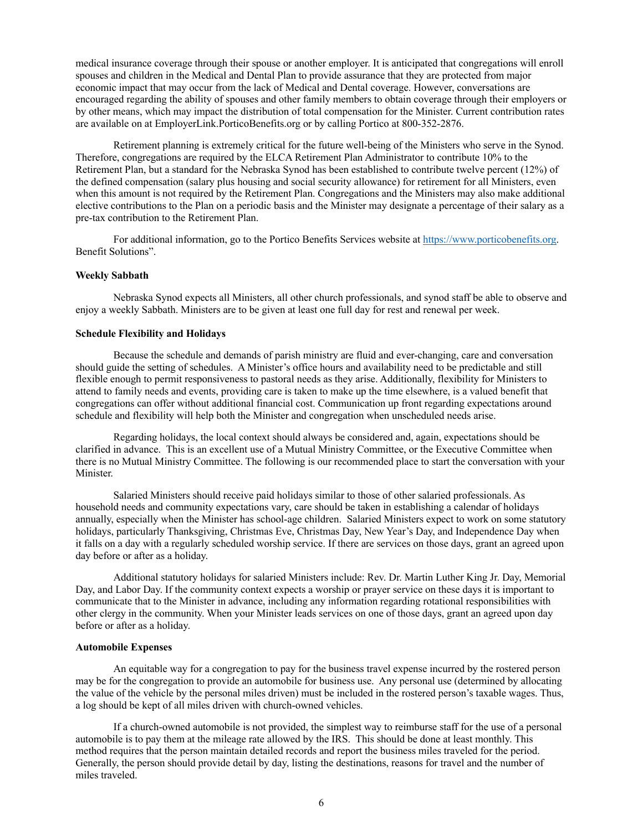medical insurance coverage through their spouse or another employer. It is anticipated that congregations will enroll spouses and children in the Medical and Dental Plan to provide assurance that they are protected from major economic impact that may occur from the lack of Medical and Dental coverage. However, conversations are encouraged regarding the ability of spouses and other family members to obtain coverage through their employers or by other means, which may impact the distribution of total compensation for the Minister. Current contribution rates are available on at EmployerLink.PorticoBenefits.org or by calling Portico at 800-352-2876.

Retirement planning is extremely critical for the future well-being of the Ministers who serve in the Synod. Therefore, congregations are required by the ELCA Retirement Plan Administrator to contribute 10% to the Retirement Plan, but a standard for the Nebraska Synod has been established to contribute twelve percent (12%) of the defined compensation (salary plus housing and social security allowance) for retirement for all Ministers, even when this amount is not required by the Retirement Plan. Congregations and the Ministers may also make additional elective contributions to the Plan on a periodic basis and the Minister may designate a percentage of their salary as a pre-tax contribution to the Retirement Plan.

For additional information, go to the Portico Benefits Services website at https://www.porticobenefits.org. Benefit Solutions".

## **Weekly Sabbath**

Nebraska Synod expects all Ministers, all other church professionals, and synod staff be able to observe and enjoy a weekly Sabbath. Ministers are to be given at least one full day for rest and renewal per week.

#### **Schedule Flexibility and Holidays**

Because the schedule and demands of parish ministry are fluid and ever-changing, care and conversation should guide the setting of schedules. A Minister's office hours and availability need to be predictable and still flexible enough to permit responsiveness to pastoral needs as they arise. Additionally, flexibility for Ministers to attend to family needs and events, providing care is taken to make up the time elsewhere, is a valued benefit that congregations can offer without additional financial cost. Communication up front regarding expectations around schedule and flexibility will help both the Minister and congregation when unscheduled needs arise.

Regarding holidays, the local context should always be considered and, again, expectations should be clarified in advance. This is an excellent use of a Mutual Ministry Committee, or the Executive Committee when there is no Mutual Ministry Committee. The following is our recommended place to start the conversation with your Minister.

Salaried Ministers should receive paid holidays similar to those of other salaried professionals. As household needs and community expectations vary, care should be taken in establishing a calendar of holidays annually, especially when the Minister has school-age children. Salaried Ministers expect to work on some statutory holidays, particularly Thanksgiving, Christmas Eve, Christmas Day, New Year's Day, and Independence Day when it falls on a day with a regularly scheduled worship service. If there are services on those days, grant an agreed upon day before or after as a holiday.

Additional statutory holidays for salaried Ministers include: Rev. Dr. Martin Luther King Jr. Day, Memorial Day, and Labor Day. If the community context expects a worship or prayer service on these days it is important to communicate that to the Minister in advance, including any information regarding rotational responsibilities with other clergy in the community. When your Minister leads services on one of those days, grant an agreed upon day before or after as a holiday.

#### **Automobile Expenses**

An equitable way for a congregation to pay for the business travel expense incurred by the rostered person may be for the congregation to provide an automobile for business use. Any personal use (determined by allocating the value of the vehicle by the personal miles driven) must be included in the rostered person's taxable wages. Thus, a log should be kept of all miles driven with church-owned vehicles.

If a church-owned automobile is not provided, the simplest way to reimburse staff for the use of a personal automobile is to pay them at the mileage rate allowed by the IRS. This should be done at least monthly. This method requires that the person maintain detailed records and report the business miles traveled for the period. Generally, the person should provide detail by day, listing the destinations, reasons for travel and the number of miles traveled.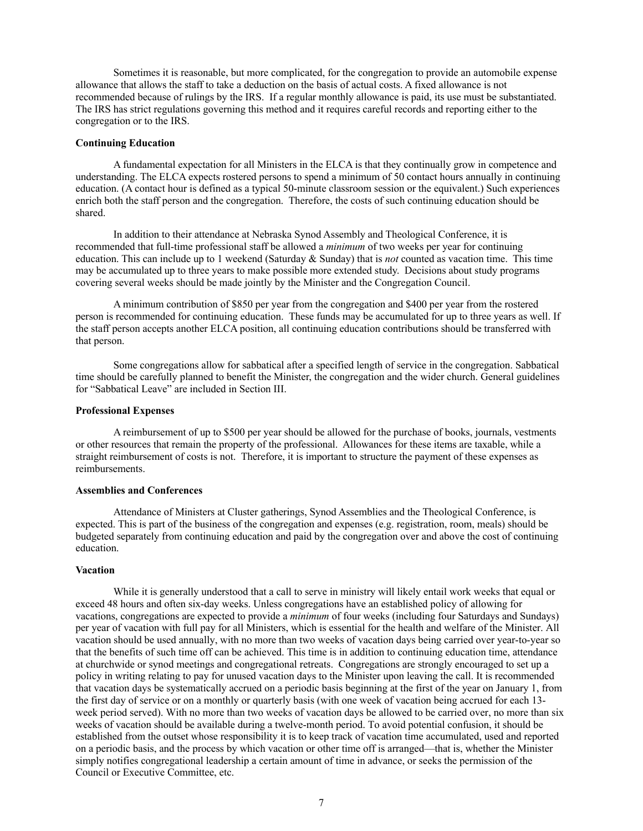Sometimes it is reasonable, but more complicated, for the congregation to provide an automobile expense allowance that allows the staff to take a deduction on the basis of actual costs. A fixed allowance is not recommended because of rulings by the IRS. If a regular monthly allowance is paid, its use must be substantiated. The IRS has strict regulations governing this method and it requires careful records and reporting either to the congregation or to the IRS.

#### **Continuing Education**

A fundamental expectation for all Ministers in the ELCA is that they continually grow in competence and understanding. The ELCA expects rostered persons to spend a minimum of 50 contact hours annually in continuing education. (A contact hour is defined as a typical 50-minute classroom session or the equivalent.) Such experiences enrich both the staff person and the congregation. Therefore, the costs of such continuing education should be shared.

In addition to their attendance at Nebraska Synod Assembly and Theological Conference, it is recommended that full-time professional staff be allowed a *minimum* of two weeks per year for continuing education. This can include up to 1 weekend (Saturday & Sunday) that is *not* counted as vacation time. This time may be accumulated up to three years to make possible more extended study. Decisions about study programs covering several weeks should be made jointly by the Minister and the Congregation Council.

A minimum contribution of \$850 per year from the congregation and \$400 per year from the rostered person is recommended for continuing education. These funds may be accumulated for up to three years as well. If the staff person accepts another ELCA position, all continuing education contributions should be transferred with that person.

Some congregations allow for sabbatical after a specified length of service in the congregation. Sabbatical time should be carefully planned to benefit the Minister, the congregation and the wider church. General guidelines for "Sabbatical Leave" are included in Section III.

#### **Professional Expenses**

A reimbursement of up to \$500 per year should be allowed for the purchase of books, journals, vestments or other resources that remain the property of the professional. Allowances for these items are taxable, while a straight reimbursement of costs is not. Therefore, it is important to structure the payment of these expenses as reimbursements.

## **Assemblies and Conferences**

Attendance of Ministers at Cluster gatherings, Synod Assemblies and the Theological Conference, is expected. This is part of the business of the congregation and expenses (e.g. registration, room, meals) should be budgeted separately from continuing education and paid by the congregation over and above the cost of continuing education.

#### **Vacation**

While it is generally understood that a call to serve in ministry will likely entail work weeks that equal or exceed 48 hours and often six-day weeks. Unless congregations have an established policy of allowing for vacations, congregations are expected to provide a *minimum* of four weeks (including four Saturdays and Sundays) per year of vacation with full pay for all Ministers, which is essential for the health and welfare of the Minister. All vacation should be used annually, with no more than two weeks of vacation days being carried over year-to-year so that the benefits of such time off can be achieved. This time is in addition to continuing education time, attendance at churchwide or synod meetings and congregational retreats. Congregations are strongly encouraged to set up a policy in writing relating to pay for unused vacation days to the Minister upon leaving the call. It is recommended that vacation days be systematically accrued on a periodic basis beginning at the first of the year on January 1, from the first day of service or on a monthly or quarterly basis (with one week of vacation being accrued for each 13 week period served). With no more than two weeks of vacation days be allowed to be carried over, no more than six weeks of vacation should be available during a twelve-month period. To avoid potential confusion, it should be established from the outset whose responsibility it is to keep track of vacation time accumulated, used and reported on a periodic basis, and the process by which vacation or other time off is arranged—that is, whether the Minister simply notifies congregational leadership a certain amount of time in advance, or seeks the permission of the Council or Executive Committee, etc.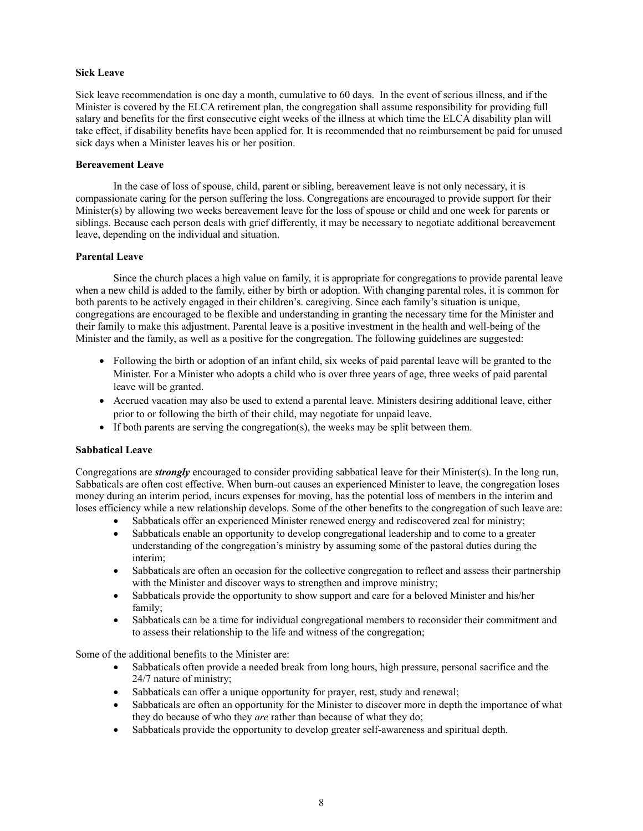## **Sick Leave**

Sick leave recommendation is one day a month, cumulative to 60 days. In the event of serious illness, and if the Minister is covered by the ELCA retirement plan, the congregation shall assume responsibility for providing full salary and benefits for the first consecutive eight weeks of the illness at which time the ELCA disability plan will take effect, if disability benefits have been applied for. It is recommended that no reimbursement be paid for unused sick days when a Minister leaves his or her position.

## **Bereavement Leave**

In the case of loss of spouse, child, parent or sibling, bereavement leave is not only necessary, it is compassionate caring for the person suffering the loss. Congregations are encouraged to provide support for their Minister(s) by allowing two weeks bereavement leave for the loss of spouse or child and one week for parents or siblings. Because each person deals with grief differently, it may be necessary to negotiate additional bereavement leave, depending on the individual and situation.

## **Parental Leave**

Since the church places a high value on family, it is appropriate for congregations to provide parental leave when a new child is added to the family, either by birth or adoption. With changing parental roles, it is common for both parents to be actively engaged in their children's. caregiving. Since each family's situation is unique, congregations are encouraged to be flexible and understanding in granting the necessary time for the Minister and their family to make this adjustment. Parental leave is a positive investment in the health and well-being of the Minister and the family, as well as a positive for the congregation. The following guidelines are suggested:

- Following the birth or adoption of an infant child, six weeks of paid parental leave will be granted to the Minister. For a Minister who adopts a child who is over three years of age, three weeks of paid parental leave will be granted.
- Accrued vacation may also be used to extend a parental leave. Ministers desiring additional leave, either prior to or following the birth of their child, may negotiate for unpaid leave.
- If both parents are serving the congregation(s), the weeks may be split between them.

## **Sabbatical Leave**

Congregations are *strongly* encouraged to consider providing sabbatical leave for their Minister(s). In the long run, Sabbaticals are often cost effective. When burn-out causes an experienced Minister to leave, the congregation loses money during an interim period, incurs expenses for moving, has the potential loss of members in the interim and loses efficiency while a new relationship develops. Some of the other benefits to the congregation of such leave are:

- Sabbaticals offer an experienced Minister renewed energy and rediscovered zeal for ministry;
- Sabbaticals enable an opportunity to develop congregational leadership and to come to a greater understanding of the congregation's ministry by assuming some of the pastoral duties during the interim;
- Sabbaticals are often an occasion for the collective congregation to reflect and assess their partnership with the Minister and discover ways to strengthen and improve ministry;
- Sabbaticals provide the opportunity to show support and care for a beloved Minister and his/her family;
- Sabbaticals can be a time for individual congregational members to reconsider their commitment and to assess their relationship to the life and witness of the congregation;

Some of the additional benefits to the Minister are:

- Sabbaticals often provide a needed break from long hours, high pressure, personal sacrifice and the 24/7 nature of ministry;
- Sabbaticals can offer a unique opportunity for prayer, rest, study and renewal;
- Sabbaticals are often an opportunity for the Minister to discover more in depth the importance of what they do because of who they *are* rather than because of what they do;
- Sabbaticals provide the opportunity to develop greater self-awareness and spiritual depth.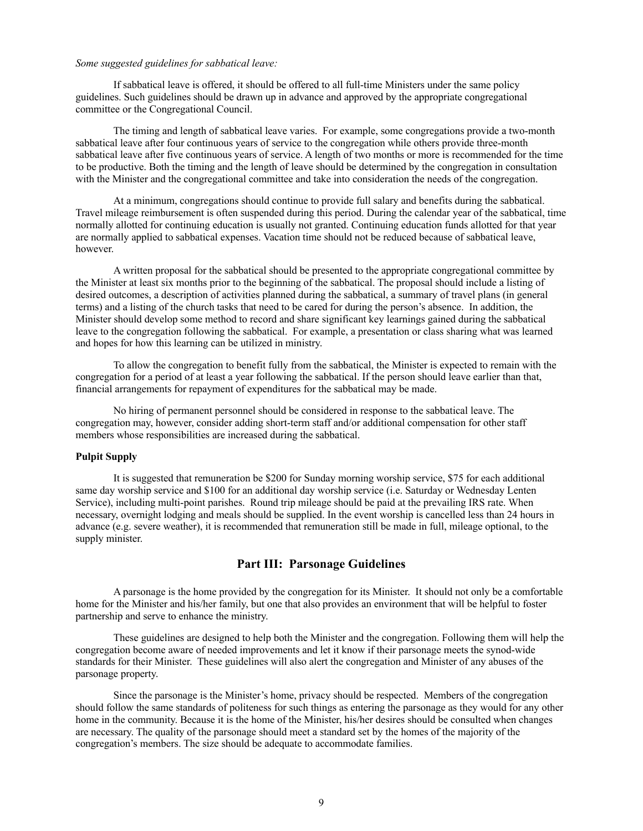## *Some suggested guidelines for sabbatical leave:*

If sabbatical leave is offered, it should be offered to all full-time Ministers under the same policy guidelines. Such guidelines should be drawn up in advance and approved by the appropriate congregational committee or the Congregational Council.

The timing and length of sabbatical leave varies. For example, some congregations provide a two-month sabbatical leave after four continuous years of service to the congregation while others provide three-month sabbatical leave after five continuous years of service. A length of two months or more is recommended for the time to be productive. Both the timing and the length of leave should be determined by the congregation in consultation with the Minister and the congregational committee and take into consideration the needs of the congregation.

At a minimum, congregations should continue to provide full salary and benefits during the sabbatical. Travel mileage reimbursement is often suspended during this period. During the calendar year of the sabbatical, time normally allotted for continuing education is usually not granted. Continuing education funds allotted for that year are normally applied to sabbatical expenses. Vacation time should not be reduced because of sabbatical leave, however.

A written proposal for the sabbatical should be presented to the appropriate congregational committee by the Minister at least six months prior to the beginning of the sabbatical. The proposal should include a listing of desired outcomes, a description of activities planned during the sabbatical, a summary of travel plans (in general terms) and a listing of the church tasks that need to be cared for during the person's absence. In addition, the Minister should develop some method to record and share significant key learnings gained during the sabbatical leave to the congregation following the sabbatical. For example, a presentation or class sharing what was learned and hopes for how this learning can be utilized in ministry.

To allow the congregation to benefit fully from the sabbatical, the Minister is expected to remain with the congregation for a period of at least a year following the sabbatical. If the person should leave earlier than that, financial arrangements for repayment of expenditures for the sabbatical may be made.

No hiring of permanent personnel should be considered in response to the sabbatical leave. The congregation may, however, consider adding short-term staff and/or additional compensation for other staff members whose responsibilities are increased during the sabbatical.

#### **Pulpit Supply**

It is suggested that remuneration be \$200 for Sunday morning worship service, \$75 for each additional same day worship service and \$100 for an additional day worship service (i.e. Saturday or Wednesday Lenten Service), including multi-point parishes. Round trip mileage should be paid at the prevailing IRS rate. When necessary, overnight lodging and meals should be supplied. In the event worship is cancelled less than 24 hours in advance (e.g. severe weather), it is recommended that remuneration still be made in full, mileage optional, to the supply minister.

## **Part III: Parsonage Guidelines**

A parsonage is the home provided by the congregation for its Minister. It should not only be a comfortable home for the Minister and his/her family, but one that also provides an environment that will be helpful to foster partnership and serve to enhance the ministry.

These guidelines are designed to help both the Minister and the congregation. Following them will help the congregation become aware of needed improvements and let it know if their parsonage meets the synod-wide standards for their Minister. These guidelines will also alert the congregation and Minister of any abuses of the parsonage property.

Since the parsonage is the Minister's home, privacy should be respected. Members of the congregation should follow the same standards of politeness for such things as entering the parsonage as they would for any other home in the community. Because it is the home of the Minister, his/her desires should be consulted when changes are necessary. The quality of the parsonage should meet a standard set by the homes of the majority of the congregation's members. The size should be adequate to accommodate families.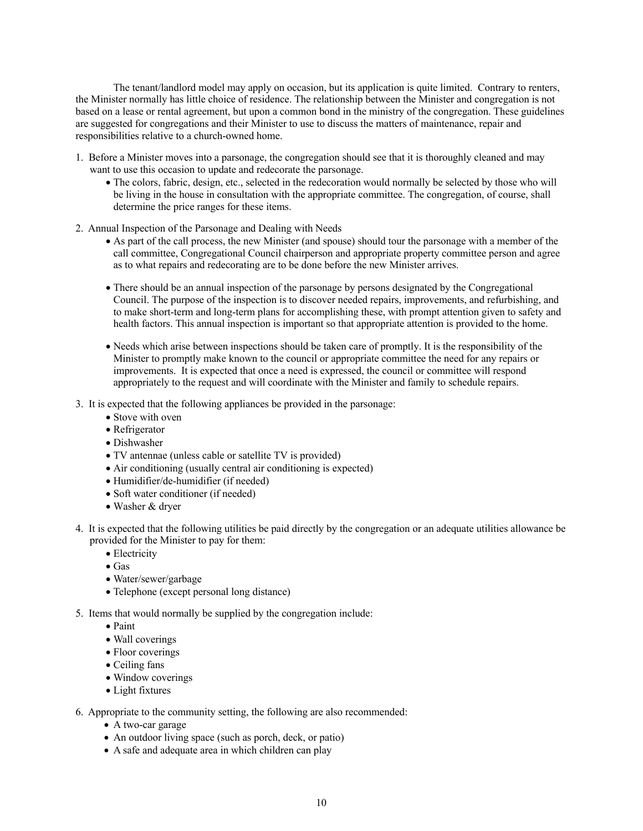The tenant/landlord model may apply on occasion, but its application is quite limited. Contrary to renters, the Minister normally has little choice of residence. The relationship between the Minister and congregation is not based on a lease or rental agreement, but upon a common bond in the ministry of the congregation. These guidelines are suggested for congregations and their Minister to use to discuss the matters of maintenance, repair and responsibilities relative to a church-owned home.

- 1. Before a Minister moves into a parsonage, the congregation should see that it is thoroughly cleaned and may want to use this occasion to update and redecorate the parsonage.
	- The colors, fabric, design, etc., selected in the redecoration would normally be selected by those who will be living in the house in consultation with the appropriate committee. The congregation, of course, shall determine the price ranges for these items.
- 2. Annual Inspection of the Parsonage and Dealing with Needs
	- As part of the call process, the new Minister (and spouse) should tour the parsonage with a member of the call committee, Congregational Council chairperson and appropriate property committee person and agree as to what repairs and redecorating are to be done before the new Minister arrives.
	- There should be an annual inspection of the parsonage by persons designated by the Congregational Council. The purpose of the inspection is to discover needed repairs, improvements, and refurbishing, and to make short-term and long-term plans for accomplishing these, with prompt attention given to safety and health factors. This annual inspection is important so that appropriate attention is provided to the home.
	- Needs which arise between inspections should be taken care of promptly. It is the responsibility of the Minister to promptly make known to the council or appropriate committee the need for any repairs or improvements. It is expected that once a need is expressed, the council or committee will respond appropriately to the request and will coordinate with the Minister and family to schedule repairs.
- 3. It is expected that the following appliances be provided in the parsonage:
	- Stove with oven
	- Refrigerator
	- Dishwasher
	- TV antennae (unless cable or satellite TV is provided)
	- Air conditioning (usually central air conditioning is expected)
	- Humidifier/de-humidifier (if needed)
	- Soft water conditioner (if needed)
	- Washer & dryer
- 4. It is expected that the following utilities be paid directly by the congregation or an adequate utilities allowance be provided for the Minister to pay for them:
	- Electricity
	- Gas
	- Water/sewer/garbage
	- Telephone (except personal long distance)
- 5. Items that would normally be supplied by the congregation include:
	- Paint
	- Wall coverings
	- Floor coverings
	- Ceiling fans
	- Window coverings
	- Light fixtures
- 6. Appropriate to the community setting, the following are also recommended:
	- A two-car garage
	- An outdoor living space (such as porch, deck, or patio)
	- A safe and adequate area in which children can play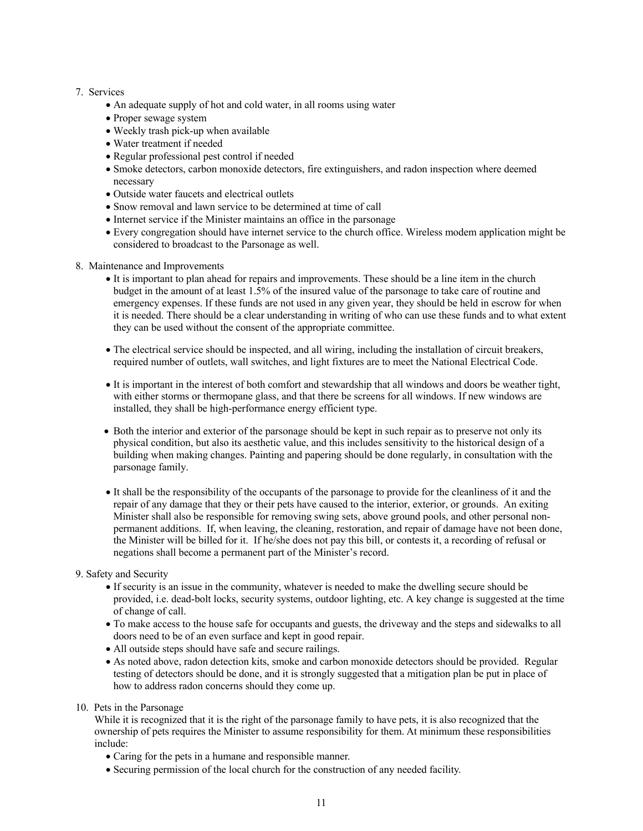## 7. Services

- An adequate supply of hot and cold water, in all rooms using water
- Proper sewage system
- Weekly trash pick-up when available
- Water treatment if needed
- Regular professional pest control if needed
- Smoke detectors, carbon monoxide detectors, fire extinguishers, and radon inspection where deemed necessary
- Outside water faucets and electrical outlets
- Snow removal and lawn service to be determined at time of call
- Internet service if the Minister maintains an office in the parsonage
- Every congregation should have internet service to the church office. Wireless modem application might be considered to broadcast to the Parsonage as well.
- 8. Maintenance and Improvements
	- It is important to plan ahead for repairs and improvements. These should be a line item in the church budget in the amount of at least 1.5% of the insured value of the parsonage to take care of routine and emergency expenses. If these funds are not used in any given year, they should be held in escrow for when it is needed. There should be a clear understanding in writing of who can use these funds and to what extent they can be used without the consent of the appropriate committee.
	- The electrical service should be inspected, and all wiring, including the installation of circuit breakers, required number of outlets, wall switches, and light fixtures are to meet the National Electrical Code.
	- It is important in the interest of both comfort and stewardship that all windows and doors be weather tight, with either storms or thermopane glass, and that there be screens for all windows. If new windows are installed, they shall be high-performance energy efficient type.
	- Both the interior and exterior of the parsonage should be kept in such repair as to preserve not only its physical condition, but also its aesthetic value, and this includes sensitivity to the historical design of a building when making changes. Painting and papering should be done regularly, in consultation with the parsonage family.
	- It shall be the responsibility of the occupants of the parsonage to provide for the cleanliness of it and the repair of any damage that they or their pets have caused to the interior, exterior, or grounds. An exiting Minister shall also be responsible for removing swing sets, above ground pools, and other personal nonpermanent additions. If, when leaving, the cleaning, restoration, and repair of damage have not been done, the Minister will be billed for it. If he/she does not pay this bill, or contests it, a recording of refusal or negations shall become a permanent part of the Minister's record.
- 9. Safety and Security
	- If security is an issue in the community, whatever is needed to make the dwelling secure should be provided, i.e. dead-bolt locks, security systems, outdoor lighting, etc. A key change is suggested at the time of change of call.
	- To make access to the house safe for occupants and guests, the driveway and the steps and sidewalks to all doors need to be of an even surface and kept in good repair.
	- All outside steps should have safe and secure railings.
	- As noted above, radon detection kits, smoke and carbon monoxide detectors should be provided. Regular testing of detectors should be done, and it is strongly suggested that a mitigation plan be put in place of how to address radon concerns should they come up.
- 10. Pets in the Parsonage

While it is recognized that it is the right of the parsonage family to have pets, it is also recognized that the ownership of pets requires the Minister to assume responsibility for them. At minimum these responsibilities include:

- Caring for the pets in a humane and responsible manner.
- Securing permission of the local church for the construction of any needed facility.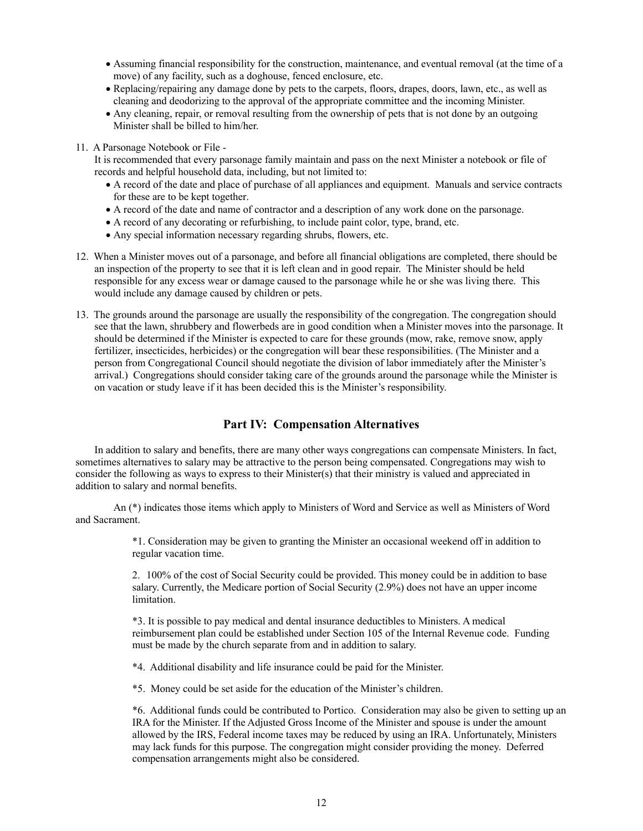- Assuming financial responsibility for the construction, maintenance, and eventual removal (at the time of a move) of any facility, such as a doghouse, fenced enclosure, etc.
- Replacing/repairing any damage done by pets to the carpets, floors, drapes, doors, lawn, etc., as well as cleaning and deodorizing to the approval of the appropriate committee and the incoming Minister.
- Any cleaning, repair, or removal resulting from the ownership of pets that is not done by an outgoing Minister shall be billed to him/her.
- 11. A Parsonage Notebook or File -

It is recommended that every parsonage family maintain and pass on the next Minister a notebook or file of records and helpful household data, including, but not limited to:

- A record of the date and place of purchase of all appliances and equipment. Manuals and service contracts for these are to be kept together.
- A record of the date and name of contractor and a description of any work done on the parsonage.
- A record of any decorating or refurbishing, to include paint color, type, brand, etc.
- Any special information necessary regarding shrubs, flowers, etc.
- 12. When a Minister moves out of a parsonage, and before all financial obligations are completed, there should be an inspection of the property to see that it is left clean and in good repair. The Minister should be held responsible for any excess wear or damage caused to the parsonage while he or she was living there. This would include any damage caused by children or pets.
- 13. The grounds around the parsonage are usually the responsibility of the congregation. The congregation should see that the lawn, shrubbery and flowerbeds are in good condition when a Minister moves into the parsonage. It should be determined if the Minister is expected to care for these grounds (mow, rake, remove snow, apply fertilizer, insecticides, herbicides) or the congregation will bear these responsibilities. (The Minister and a person from Congregational Council should negotiate the division of labor immediately after the Minister's arrival.) Congregations should consider taking care of the grounds around the parsonage while the Minister is on vacation or study leave if it has been decided this is the Minister's responsibility.

## **Part IV: Compensation Alternatives**

In addition to salary and benefits, there are many other ways congregations can compensate Ministers. In fact, sometimes alternatives to salary may be attractive to the person being compensated. Congregations may wish to consider the following as ways to express to their Minister(s) that their ministry is valued and appreciated in addition to salary and normal benefits.

An (\*) indicates those items which apply to Ministers of Word and Service as well as Ministers of Word and Sacrament.

> \*1. Consideration may be given to granting the Minister an occasional weekend off in addition to regular vacation time.

2. 100% of the cost of Social Security could be provided. This money could be in addition to base salary. Currently, the Medicare portion of Social Security (2.9%) does not have an upper income limitation.

\*3. It is possible to pay medical and dental insurance deductibles to Ministers. A medical reimbursement plan could be established under Section 105 of the Internal Revenue code. Funding must be made by the church separate from and in addition to salary.

\*4. Additional disability and life insurance could be paid for the Minister.

\*5. Money could be set aside for the education of the Minister's children.

\*6. Additional funds could be contributed to Portico. Consideration may also be given to setting up an IRA for the Minister. If the Adjusted Gross Income of the Minister and spouse is under the amount allowed by the IRS, Federal income taxes may be reduced by using an IRA. Unfortunately, Ministers may lack funds for this purpose. The congregation might consider providing the money. Deferred compensation arrangements might also be considered.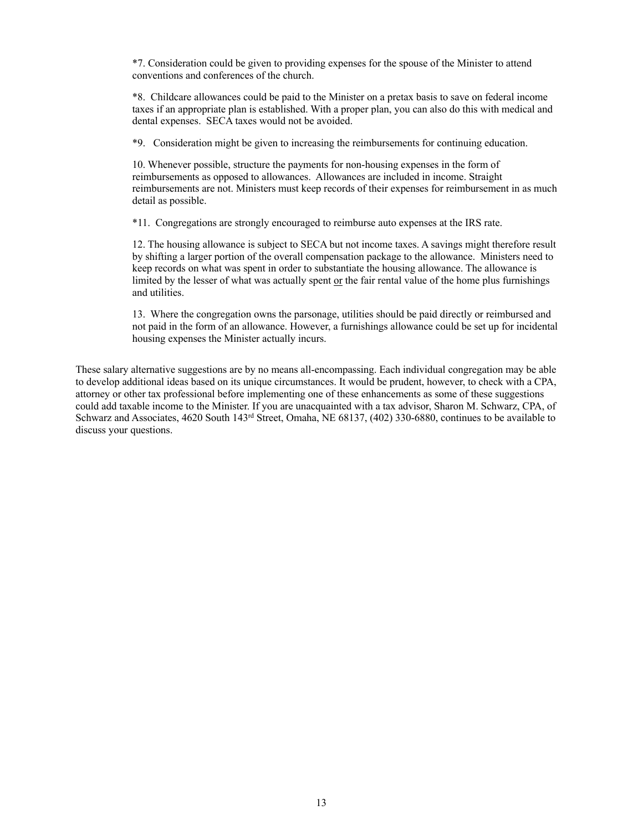\*7. Consideration could be given to providing expenses for the spouse of the Minister to attend conventions and conferences of the church.

\*8. Childcare allowances could be paid to the Minister on a pretax basis to save on federal income taxes if an appropriate plan is established. With a proper plan, you can also do this with medical and dental expenses. SECA taxes would not be avoided.

\*9. Consideration might be given to increasing the reimbursements for continuing education.

10. Whenever possible, structure the payments for non-housing expenses in the form of reimbursements as opposed to allowances. Allowances are included in income. Straight reimbursements are not. Ministers must keep records of their expenses for reimbursement in as much detail as possible.

\*11. Congregations are strongly encouraged to reimburse auto expenses at the IRS rate.

12. The housing allowance is subject to SECA but not income taxes. A savings might therefore result by shifting a larger portion of the overall compensation package to the allowance. Ministers need to keep records on what was spent in order to substantiate the housing allowance. The allowance is limited by the lesser of what was actually spent or the fair rental value of the home plus furnishings and utilities.

13. Where the congregation owns the parsonage, utilities should be paid directly or reimbursed and not paid in the form of an allowance. However, a furnishings allowance could be set up for incidental housing expenses the Minister actually incurs.

These salary alternative suggestions are by no means all-encompassing. Each individual congregation may be able to develop additional ideas based on its unique circumstances. It would be prudent, however, to check with a CPA, attorney or other tax professional before implementing one of these enhancements as some of these suggestions could add taxable income to the Minister. If you are unacquainted with a tax advisor, Sharon M. Schwarz, CPA, of Schwarz and Associates, 4620 South 143<sup>rd</sup> Street, Omaha, NE 68137, (402) 330-6880, continues to be available to discuss your questions.